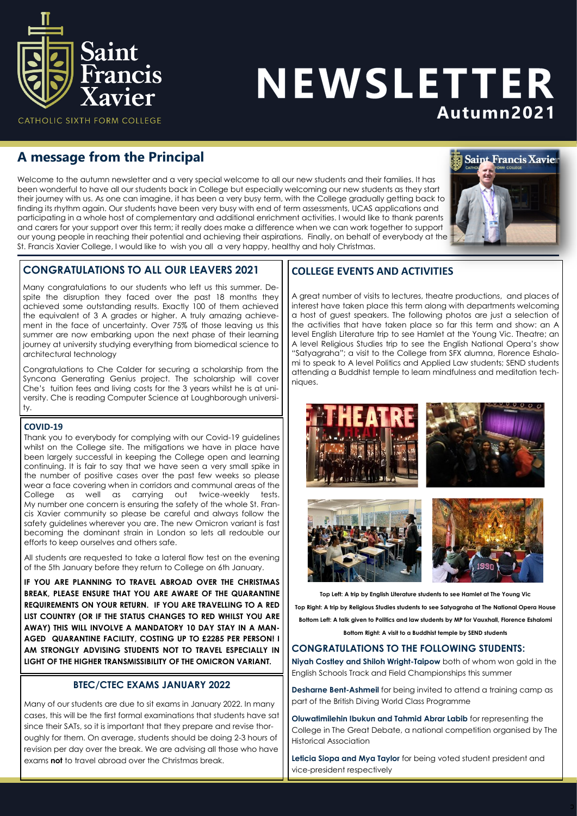

# NEWSLETTER Autumn2021

# **A message from the Principal**

Welcome to the autumn newsletter and a very special welcome to all our new students and their families. It has been wonderful to have all our students back in College but especially welcoming our new students as they start their journey with us. As one can imagine, it has been a very busy term, with the College gradually getting back to finding its rhythm again. Our students have been very busy with end of term assessments, UCAS applications and participating in a whole host of complementary and additional enrichment activities. I would like to thank parents and carers for your support over this term; it really does make a difference when we can work together to support our young people in reaching their potential and achieving their aspirations. Finally, on behalf of everybody at the St. Francis Xavier College, I would like to wish you all a very happy, healthy and holy Christmas.



# **CONGRATULATIONS TO ALL OUR LEAVERS 2021**

Many congratulations to our students who left us this summer. Despite the disruption they faced over the past 18 months they achieved some outstanding results. Exactly 100 of them achieved the equivalent of 3 A grades or higher. A truly amazing achievement in the face of uncertainty. Over 75% of those leaving us this summer are now embarking upon the next phase of their learning journey at university studying everything from biomedical science to architectural technology

Congratulations to Che Calder for securing a scholarship from the Syncona Generating Genius project. The scholarship will cover Che's tuition fees and living costs for the 3 years whilst he is at university. Che is reading Computer Science at Loughborough university.

#### **COVID-19**

Thank you to everybody for complying with our Covid-19 guidelines whilst on the College site. The mitigations we have in place have been largely successful in keeping the College open and learning continuing. It is fair to say that we have seen a very small spike in the number of positive cases over the past few weeks so please wear a face covering when in corridors and communal areas of the College as well as carrying out twice-weekly tests. My number one concern is ensuring the safety of the whole St. Francis Xavier community so please be careful and always follow the safety guidelines wherever you are. The new Omicron variant is fast becoming the dominant strain in London so lets all redouble our efforts to keep ourselves and others safe.

All students are requested to take a lateral flow test on the evening of the 5th January before they return to College on 6th January.

**IF YOU ARE PLANNING TO TRAVEL ABROAD OVER THE CHRISTMAS BREAK, PLEASE ENSURE THAT YOU ARE AWARE OF THE QUARANTINE REQUIREMENTS ON YOUR RETURN. IF YOU ARE TRAVELLING TO A RED LIST COUNTRY (OR IF THE STATUS CHANGES TO RED WHILST YOU ARE AWAY) THIS WILL INVOLVE A MANDATORY 10 DAY STAY IN A MAN-AGED QUARANTINE FACILITY, COSTING UP TO £2285 PER PERSON! I AM STRONGLY ADVISING STUDENTS NOT TO TRAVEL ESPECIALLY IN LIGHT OF THE HIGHER TRANSMISSIBILITY OF THE OMICRON VARIANT.** 

### **BTEC/CTEC EXAMS JANUARY 2022**

Many of our students are due to sit exams in January 2022. In many cases, this will be the first formal examinations that students have sat since their SATs, so it is important that they prepare and revise thoroughly for them. On average, students should be doing 2-3 hours of revision per day over the break. We are advising all those who have exams **not** to travel abroad over the Christmas break.

## **COLLEGE EVENTS AND ACTIVITIES**

A great number of visits to lectures, theatre productions, and places of interest have taken place this term along with departments welcoming a host of guest speakers. The following photos are just a selection of the activities that have taken place so far this term and show: an A level English Literature trip to see Hamlet at the Young Vic. Theatre; an A level Religious Studies trip to see the English National Opera's show "Satyagraha"; a visit to the College from SFX alumna, Florence Eshalomi to speak to A level Politics and Applied Law students; SEND students attending a Buddhist temple to learn mindfulness and meditation techniques.



**Top Left: A trip by English Literature students to see Hamlet at The Young Vic Top Right: A trip by Religious Studies students to see Satyagraha at The National Opera House Bottom Left: A talk given to Politics and law students by MP for Vauxhall, Florence Eshalomi**

**Bottom Right: A visit to a Buddhist temple by SEND students**

### **CONGRATULATIONS TO THE FOLLOWING STUDENTS:**

**Niyah Costley and Shiloh Wright-Taipow** both of whom won gold in the English Schools Track and Field Championships this summer

**Desharne Bent-Ashmeil** for being invited to attend a training camp as part of the British Diving World Class Programme

**Oluwatimilehin Ibukun and Tahmid Abrar Labib** for representing the College in The Great Debate, a national competition organised by The Historical Association

**Leticia Siopa and Mya Taylor** for being voted student president and vice-president respectively